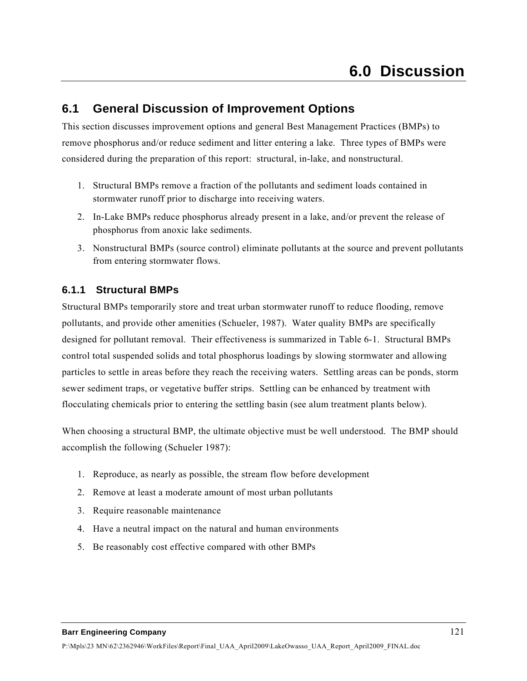# **6.1 General Discussion of Improvement Options**

This section discusses improvement options and general Best Management Practices (BMPs) to remove phosphorus and/or reduce sediment and litter entering a lake. Three types of BMPs were considered during the preparation of this report: structural, in-lake, and nonstructural.

- 1. Structural BMPs remove a fraction of the pollutants and sediment loads contained in stormwater runoff prior to discharge into receiving waters.
- 2. In-Lake BMPs reduce phosphorus already present in a lake, and/or prevent the release of phosphorus from anoxic lake sediments.
- 3. Nonstructural BMPs (source control) eliminate pollutants at the source and prevent pollutants from entering stormwater flows.

## **6.1.1 Structural BMPs**

Structural BMPs temporarily store and treat urban stormwater runoff to reduce flooding, remove pollutants, and provide other amenities (Schueler, 1987). Water quality BMPs are specifically designed for pollutant removal. Their effectiveness is summarized in Table 6-1. Structural BMPs control total suspended solids and total phosphorus loadings by slowing stormwater and allowing particles to settle in areas before they reach the receiving waters. Settling areas can be ponds, storm sewer sediment traps, or vegetative buffer strips. Settling can be enhanced by treatment with flocculating chemicals prior to entering the settling basin (see alum treatment plants below).

When choosing a structural BMP, the ultimate objective must be well understood. The BMP should accomplish the following (Schueler 1987):

- 1. Reproduce, as nearly as possible, the stream flow before development
- 2. Remove at least a moderate amount of most urban pollutants
- 3. Require reasonable maintenance
- 4. Have a neutral impact on the natural and human environments
- 5. Be reasonably cost effective compared with other BMPs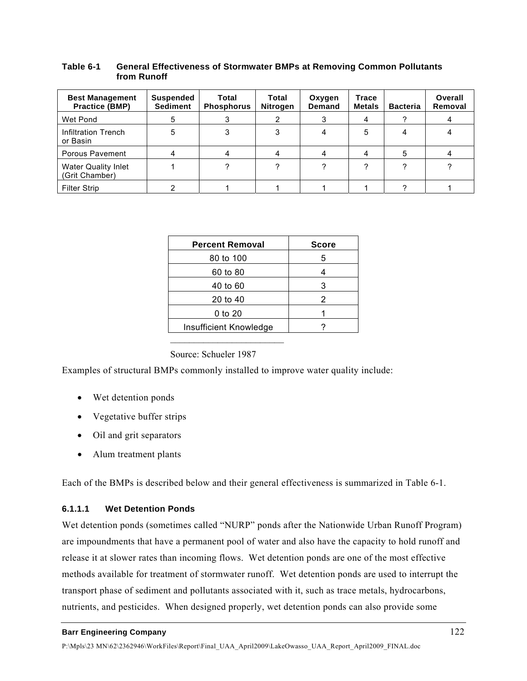| <b>Best Management</b><br><b>Practice (BMP)</b> | <b>Suspended</b><br><b>Sediment</b> | Total<br><b>Phosphorus</b> | Total<br>Nitrogen | Oxygen<br><b>Demand</b> | <b>Trace</b><br><b>Metals</b> | <b>Bacteria</b> | Overall<br>Removal |
|-------------------------------------------------|-------------------------------------|----------------------------|-------------------|-------------------------|-------------------------------|-----------------|--------------------|
|                                                 |                                     |                            |                   |                         |                               |                 |                    |
| Wet Pond                                        | 5                                   | 3                          |                   |                         |                               |                 |                    |
| Infiltration Trench<br>or Basin                 | 5                                   | 3                          |                   |                         | 5                             |                 |                    |
| Porous Pavement                                 | 4                                   | 4                          |                   |                         | 4                             | 5               |                    |
| <b>Water Quality Inlet</b><br>(Grit Chamber)    |                                     |                            |                   |                         |                               |                 |                    |
| <b>Filter Strip</b>                             |                                     |                            |                   |                         |                               |                 |                    |

### **Table 6-1 General Effectiveness of Stormwater BMPs at Removing Common Pollutants from Runoff**

| <b>Percent Removal</b> | <b>Score</b> |
|------------------------|--------------|
| 80 to 100              | 5            |
| 60 to 80               |              |
| 40 to 60               | 3            |
| 20 to 40               | 2            |
| 0 to 20                |              |
| Insufficient Knowledge |              |

Source: Schueler 1987

Examples of structural BMPs commonly installed to improve water quality include:

- Wet detention ponds
- Vegetative buffer strips
- Oil and grit separators
- Alum treatment plants

Each of the BMPs is described below and their general effectiveness is summarized in Table 6-1.

## **6.1.1.1 Wet Detention Ponds**

Wet detention ponds (sometimes called "NURP" ponds after the Nationwide Urban Runoff Program) are impoundments that have a permanent pool of water and also have the capacity to hold runoff and release it at slower rates than incoming flows. Wet detention ponds are one of the most effective methods available for treatment of stormwater runoff. Wet detention ponds are used to interrupt the transport phase of sediment and pollutants associated with it, such as trace metals, hydrocarbons, nutrients, and pesticides. When designed properly, wet detention ponds can also provide some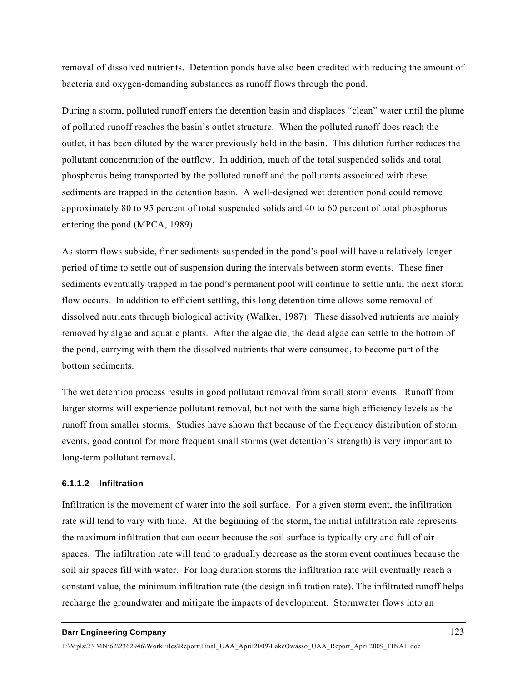removal of dissolved nutrients. Detention ponds have also been credited with reducing the amount of bacteria and oxygen-demanding substances as runoff flows through the pond.

During a storm, polluted runoff enters the detention basin and displaces "clean" water until the plume of polluted runoff reaches the basin's outlet structure. When the polluted runoff does reach the outlet, it has been diluted by the water previously held in the basin. This dilution further reduces the pollutant concentration of the outflow. In addition, much of the total suspended solids and total phosphorus being transported by the polluted runoff and the pollutants associated with these sediments are trapped in the detention basin. A well-designed wet detention pond could remove approximately 80 to 95 percent of total suspended solids and 40 to 60 percent of total phosphorus entering the pond (MPCA, 1989).

As storm flows subside, finer sediments suspended in the pond's pool will have a relatively longer period of time to settle out of suspension during the intervals between storm events. These finer sediments eventually trapped in the pond's permanent pool will continue to settle until the next storm flow occurs. In addition to efficient settling, this long detention time allows some removal of dissolved nutrients through biological activity (Walker, 1987). These dissolved nutrients are mainly removed by algae and aquatic plants. After the algae die, the dead algae can settle to the bottom of the pond, carrying with them the dissolved nutrients that were consumed, to become part of the bottom sediments.

The wet detention process results in good pollutant removal from small storm events. Runoff from larger storms will experience pollutant removal, but not with the same high efficiency levels as the runoff from smaller storms. Studies have shown that because of the frequency distribution of storm events, good control for more frequent small storms (wet detention's strength) is very important to long-term pollutant removal.

### **6.1.1.2 Infiltration**

Infiltration is the movement of water into the soil surface. For a given storm event, the infiltration rate will tend to vary with time. At the beginning of the storm, the initial infiltration rate represents the maximum infiltration that can occur because the soil surface is typically dry and full of air spaces. The infiltration rate will tend to gradually decrease as the storm event continues because the soil air spaces fill with water. For long duration storms the infiltration rate will eventually reach a constant value, the minimum infiltration rate (the design infiltration rate). The infiltrated runoff helps recharge the groundwater and mitigate the impacts of development. Stormwater flows into an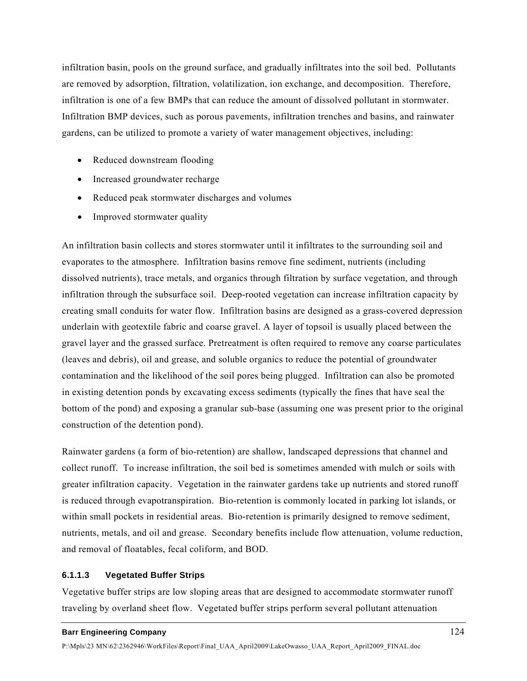infiltration basin, pools on the ground surface, and gradually infiltrates into the soil bed. Pollutants are removed by adsorption, filtration, volatilization, ion exchange, and decomposition. Therefore, infiltration is one of a few BMPs that can reduce the amount of dissolved pollutant in stormwater. Infiltration BMP devices, such as porous pavements, infiltration trenches and basins, and rainwater gardens, can be utilized to promote a variety of water management objectives, including:

- Reduced downstream flooding
- Increased groundwater recharge
- Reduced peak stormwater discharges and volumes
- Improved stormwater quality

An infiltration basin collects and stores stormwater until it infiltrates to the surrounding soil and evaporates to the atmosphere. Infiltration basins remove fine sediment, nutrients (including dissolved nutrients), trace metals, and organics through filtration by surface vegetation, and through infiltration through the subsurface soil. Deep-rooted vegetation can increase infiltration capacity by creating small conduits for water flow. Infiltration basins are designed as a grass-covered depression underlain with geotextile fabric and coarse gravel. A layer of topsoil is usually placed between the gravel layer and the grassed surface. Pretreatment is often required to remove any coarse particulates (leaves and debris), oil and grease, and soluble organics to reduce the potential of groundwater contamination and the likelihood of the soil pores being plugged. Infiltration can also be promoted in existing detention ponds by excavating excess sediments (typically the fines that have seal the bottom of the pond) and exposing a granular sub-base (assuming one was present prior to the original construction of the detention pond).

Rainwater gardens (a form of bio-retention) are shallow, landscaped depressions that channel and collect runoff. To increase infiltration, the soil bed is sometimes amended with mulch or soils with greater infiltration capacity. Vegetation in the rainwater gardens take up nutrients and stored runoff is reduced through evapotranspiration. Bio-retention is commonly located in parking lot islands, or within small pockets in residential areas. Bio-retention is primarily designed to remove sediment, nutrients, metals, and oil and grease. Secondary benefits include flow attenuation, volume reduction, and removal of floatables, fecal coliform, and BOD.

### **6.1.1.3 Vegetated Buffer Strips**

Vegetative buffer strips are low sloping areas that are designed to accommodate stormwater runoff traveling by overland sheet flow. Vegetated buffer strips perform several pollutant attenuation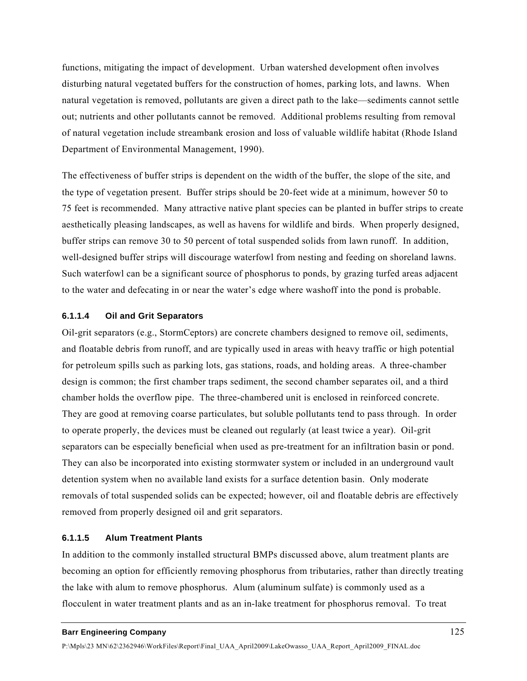functions, mitigating the impact of development. Urban watershed development often involves disturbing natural vegetated buffers for the construction of homes, parking lots, and lawns. When natural vegetation is removed, pollutants are given a direct path to the lake—sediments cannot settle out; nutrients and other pollutants cannot be removed. Additional problems resulting from removal of natural vegetation include streambank erosion and loss of valuable wildlife habitat (Rhode Island Department of Environmental Management, 1990).

The effectiveness of buffer strips is dependent on the width of the buffer, the slope of the site, and the type of vegetation present. Buffer strips should be 20-feet wide at a minimum, however 50 to 75 feet is recommended. Many attractive native plant species can be planted in buffer strips to create aesthetically pleasing landscapes, as well as havens for wildlife and birds. When properly designed, buffer strips can remove 30 to 50 percent of total suspended solids from lawn runoff. In addition, well-designed buffer strips will discourage waterfowl from nesting and feeding on shoreland lawns. Such waterfowl can be a significant source of phosphorus to ponds, by grazing turfed areas adjacent to the water and defecating in or near the water's edge where washoff into the pond is probable.

### **6.1.1.4 Oil and Grit Separators**

Oil-grit separators (e.g., StormCeptors) are concrete chambers designed to remove oil, sediments, and floatable debris from runoff, and are typically used in areas with heavy traffic or high potential for petroleum spills such as parking lots, gas stations, roads, and holding areas. A three-chamber design is common; the first chamber traps sediment, the second chamber separates oil, and a third chamber holds the overflow pipe. The three-chambered unit is enclosed in reinforced concrete. They are good at removing coarse particulates, but soluble pollutants tend to pass through. In order to operate properly, the devices must be cleaned out regularly (at least twice a year). Oil-grit separators can be especially beneficial when used as pre-treatment for an infiltration basin or pond. They can also be incorporated into existing stormwater system or included in an underground vault detention system when no available land exists for a surface detention basin. Only moderate removals of total suspended solids can be expected; however, oil and floatable debris are effectively removed from properly designed oil and grit separators.

#### **6.1.1.5 Alum Treatment Plants**

In addition to the commonly installed structural BMPs discussed above, alum treatment plants are becoming an option for efficiently removing phosphorus from tributaries, rather than directly treating the lake with alum to remove phosphorus. Alum (aluminum sulfate) is commonly used as a flocculent in water treatment plants and as an in-lake treatment for phosphorus removal. To treat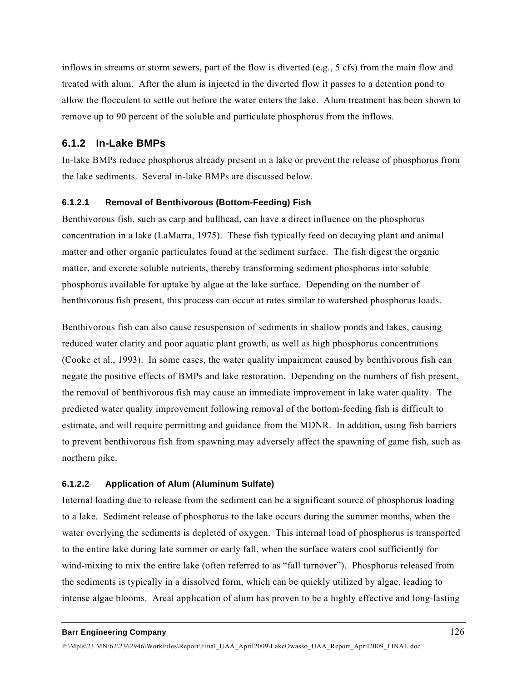inflows in streams or storm sewers, part of the flow is diverted (e.g., 5 cfs) from the main flow and treated with alum. After the alum is injected in the diverted flow it passes to a detention pond to allow the flocculent to settle out before the water enters the lake. Alum treatment has been shown to remove up to 90 percent of the soluble and particulate phosphorus from the inflows.

## **6.1.2 In-Lake BMPs**

In-lake BMPs reduce phosphorus already present in a lake or prevent the release of phosphorus from the lake sediments. Several in-lake BMPs are discussed below.

## **6.1.2.1 Removal of Benthivorous (Bottom-Feeding) Fish**

Benthivorous fish, such as carp and bullhead, can have a direct influence on the phosphorus concentration in a lake (LaMarra, 1975). These fish typically feed on decaying plant and animal matter and other organic particulates found at the sediment surface. The fish digest the organic matter, and excrete soluble nutrients, thereby transforming sediment phosphorus into soluble phosphorus available for uptake by algae at the lake surface. Depending on the number of benthivorous fish present, this process can occur at rates similar to watershed phosphorus loads.

Benthivorous fish can also cause resuspension of sediments in shallow ponds and lakes, causing reduced water clarity and poor aquatic plant growth, as well as high phosphorus concentrations (Cooke et al., 1993). In some cases, the water quality impairment caused by benthivorous fish can negate the positive effects of BMPs and lake restoration. Depending on the numbers of fish present, the removal of benthivorous fish may cause an immediate improvement in lake water quality. The predicted water quality improvement following removal of the bottom-feeding fish is difficult to estimate, and will require permitting and guidance from the MDNR. In addition, using fish barriers to prevent benthivorous fish from spawning may adversely affect the spawning of game fish, such as northern pike.

### **6.1.2.2 Application of Alum (Aluminum Sulfate)**

Internal loading due to release from the sediment can be a significant source of phosphorus loading to a lake. Sediment release of phosphorus to the lake occurs during the summer months, when the water overlying the sediments is depleted of oxygen. This internal load of phosphorus is transported to the entire lake during late summer or early fall, when the surface waters cool sufficiently for wind-mixing to mix the entire lake (often referred to as "fall turnover"). Phosphorus released from the sediments is typically in a dissolved form, which can be quickly utilized by algae, leading to intense algae blooms. Areal application of alum has proven to be a highly effective and long-lasting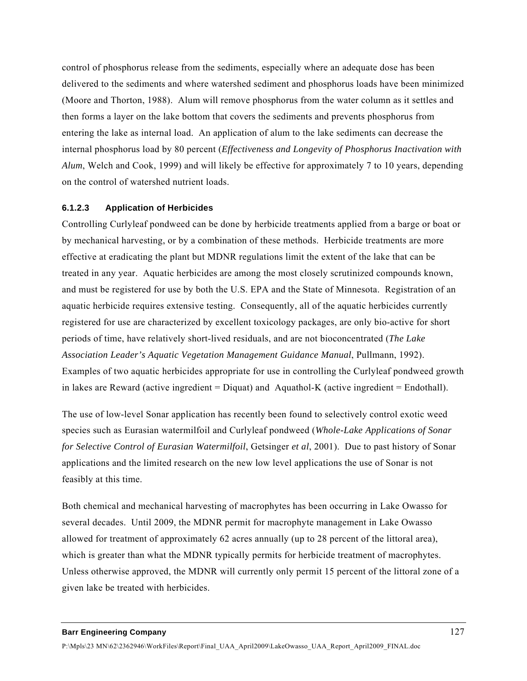control of phosphorus release from the sediments, especially where an adequate dose has been delivered to the sediments and where watershed sediment and phosphorus loads have been minimized (Moore and Thorton, 1988). Alum will remove phosphorus from the water column as it settles and then forms a layer on the lake bottom that covers the sediments and prevents phosphorus from entering the lake as internal load. An application of alum to the lake sediments can decrease the internal phosphorus load by 80 percent (*Effectiveness and Longevity of Phosphorus Inactivation with Alum*, Welch and Cook, 1999) and will likely be effective for approximately 7 to 10 years, depending on the control of watershed nutrient loads.

### **6.1.2.3 Application of Herbicides**

Controlling Curlyleaf pondweed can be done by herbicide treatments applied from a barge or boat or by mechanical harvesting, or by a combination of these methods. Herbicide treatments are more effective at eradicating the plant but MDNR regulations limit the extent of the lake that can be treated in any year. Aquatic herbicides are among the most closely scrutinized compounds known, and must be registered for use by both the U.S. EPA and the State of Minnesota. Registration of an aquatic herbicide requires extensive testing. Consequently, all of the aquatic herbicides currently registered for use are characterized by excellent toxicology packages, are only bio-active for short periods of time, have relatively short-lived residuals, and are not bioconcentrated (*The Lake Association Leader's Aquatic Vegetation Management Guidance Manual*, Pullmann, 1992). Examples of two aquatic herbicides appropriate for use in controlling the Curlyleaf pondweed growth in lakes are Reward (active ingredient = Diquat) and Aquathol-K (active ingredient = Endothall).

The use of low-level Sonar application has recently been found to selectively control exotic weed species such as Eurasian watermilfoil and Curlyleaf pondweed (*Whole-Lake Applications of Sonar for Selective Control of Eurasian Watermilfoil*, Getsinger *et al*, 2001). Due to past history of Sonar applications and the limited research on the new low level applications the use of Sonar is not feasibly at this time.

Both chemical and mechanical harvesting of macrophytes has been occurring in Lake Owasso for several decades. Until 2009, the MDNR permit for macrophyte management in Lake Owasso allowed for treatment of approximately 62 acres annually (up to 28 percent of the littoral area), which is greater than what the MDNR typically permits for herbicide treatment of macrophytes. Unless otherwise approved, the MDNR will currently only permit 15 percent of the littoral zone of a given lake be treated with herbicides.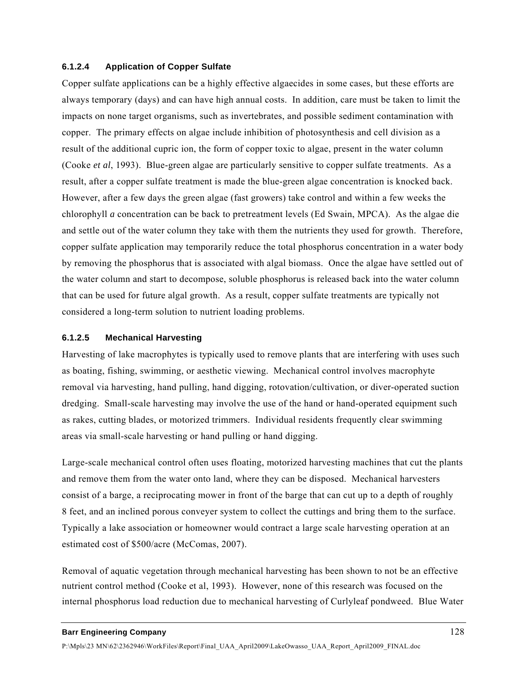### **6.1.2.4 Application of Copper Sulfate**

Copper sulfate applications can be a highly effective algaecides in some cases, but these efforts are always temporary (days) and can have high annual costs. In addition, care must be taken to limit the impacts on none target organisms, such as invertebrates, and possible sediment contamination with copper. The primary effects on algae include inhibition of photosynthesis and cell division as a result of the additional cupric ion, the form of copper toxic to algae, present in the water column (Cooke *et al*, 1993). Blue-green algae are particularly sensitive to copper sulfate treatments. As a result, after a copper sulfate treatment is made the blue-green algae concentration is knocked back. However, after a few days the green algae (fast growers) take control and within a few weeks the chlorophyll *a* concentration can be back to pretreatment levels (Ed Swain, MPCA). As the algae die and settle out of the water column they take with them the nutrients they used for growth. Therefore, copper sulfate application may temporarily reduce the total phosphorus concentration in a water body by removing the phosphorus that is associated with algal biomass. Once the algae have settled out of the water column and start to decompose, soluble phosphorus is released back into the water column that can be used for future algal growth. As a result, copper sulfate treatments are typically not considered a long-term solution to nutrient loading problems.

#### **6.1.2.5 Mechanical Harvesting**

Harvesting of lake macrophytes is typically used to remove plants that are interfering with uses such as boating, fishing, swimming, or aesthetic viewing. Mechanical control involves macrophyte removal via harvesting, hand pulling, hand digging, rotovation/cultivation, or diver-operated suction dredging. Small-scale harvesting may involve the use of the hand or hand-operated equipment such as rakes, cutting blades, or motorized trimmers. Individual residents frequently clear swimming areas via small-scale harvesting or hand pulling or hand digging.

Large-scale mechanical control often uses floating, motorized harvesting machines that cut the plants and remove them from the water onto land, where they can be disposed. Mechanical harvesters consist of a barge, a reciprocating mower in front of the barge that can cut up to a depth of roughly 8 feet, and an inclined porous conveyer system to collect the cuttings and bring them to the surface. Typically a lake association or homeowner would contract a large scale harvesting operation at an estimated cost of \$500/acre (McComas, 2007).

Removal of aquatic vegetation through mechanical harvesting has been shown to not be an effective nutrient control method (Cooke et al, 1993). However, none of this research was focused on the internal phosphorus load reduction due to mechanical harvesting of Curlyleaf pondweed. Blue Water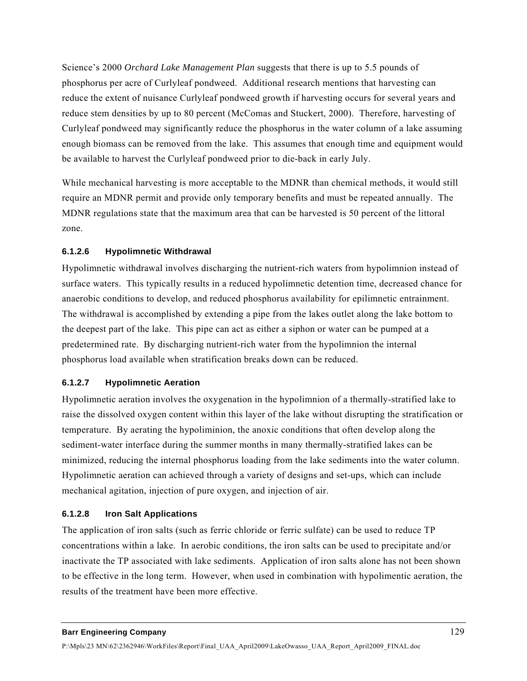Science's 2000 *Orchard Lake Management Plan* suggests that there is up to 5.5 pounds of phosphorus per acre of Curlyleaf pondweed. Additional research mentions that harvesting can reduce the extent of nuisance Curlyleaf pondweed growth if harvesting occurs for several years and reduce stem densities by up to 80 percent (McComas and Stuckert, 2000). Therefore, harvesting of Curlyleaf pondweed may significantly reduce the phosphorus in the water column of a lake assuming enough biomass can be removed from the lake. This assumes that enough time and equipment would be available to harvest the Curlyleaf pondweed prior to die-back in early July.

While mechanical harvesting is more acceptable to the MDNR than chemical methods, it would still require an MDNR permit and provide only temporary benefits and must be repeated annually. The MDNR regulations state that the maximum area that can be harvested is 50 percent of the littoral zone.

## **6.1.2.6 Hypolimnetic Withdrawal**

Hypolimnetic withdrawal involves discharging the nutrient-rich waters from hypolimnion instead of surface waters. This typically results in a reduced hypolimnetic detention time, decreased chance for anaerobic conditions to develop, and reduced phosphorus availability for epilimnetic entrainment. The withdrawal is accomplished by extending a pipe from the lakes outlet along the lake bottom to the deepest part of the lake. This pipe can act as either a siphon or water can be pumped at a predetermined rate. By discharging nutrient-rich water from the hypolimnion the internal phosphorus load available when stratification breaks down can be reduced.

## **6.1.2.7 Hypolimnetic Aeration**

Hypolimnetic aeration involves the oxygenation in the hypolimnion of a thermally-stratified lake to raise the dissolved oxygen content within this layer of the lake without disrupting the stratification or temperature. By aerating the hypoliminion, the anoxic conditions that often develop along the sediment-water interface during the summer months in many thermally-stratified lakes can be minimized, reducing the internal phosphorus loading from the lake sediments into the water column. Hypolimnetic aeration can achieved through a variety of designs and set-ups, which can include mechanical agitation, injection of pure oxygen, and injection of air.

## **6.1.2.8 Iron Salt Applications**

The application of iron salts (such as ferric chloride or ferric sulfate) can be used to reduce TP concentrations within a lake. In aerobic conditions, the iron salts can be used to precipitate and/or inactivate the TP associated with lake sediments. Application of iron salts alone has not been shown to be effective in the long term. However, when used in combination with hypolimentic aeration, the results of the treatment have been more effective.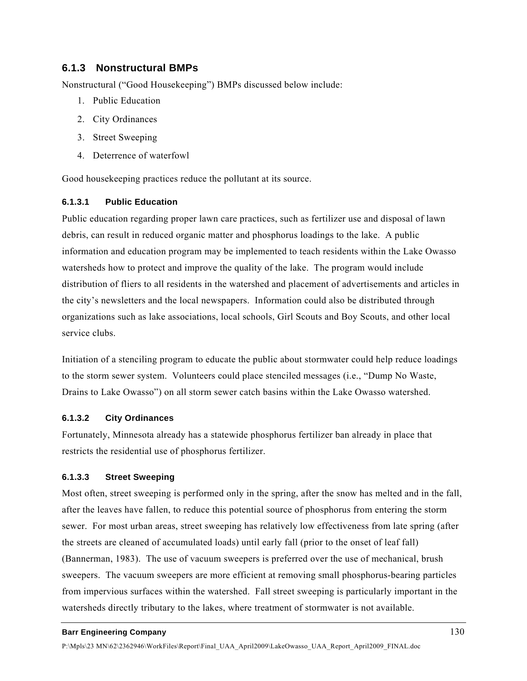## **6.1.3 Nonstructural BMPs**

Nonstructural ("Good Housekeeping") BMPs discussed below include:

- 1. Public Education
- 2. City Ordinances
- 3. Street Sweeping
- 4. Deterrence of waterfowl

Good housekeeping practices reduce the pollutant at its source.

## **6.1.3.1 Public Education**

Public education regarding proper lawn care practices, such as fertilizer use and disposal of lawn debris, can result in reduced organic matter and phosphorus loadings to the lake. A public information and education program may be implemented to teach residents within the Lake Owasso watersheds how to protect and improve the quality of the lake. The program would include distribution of fliers to all residents in the watershed and placement of advertisements and articles in the city's newsletters and the local newspapers. Information could also be distributed through organizations such as lake associations, local schools, Girl Scouts and Boy Scouts, and other local service clubs.

Initiation of a stenciling program to educate the public about stormwater could help reduce loadings to the storm sewer system. Volunteers could place stenciled messages (i.e., "Dump No Waste, Drains to Lake Owasso") on all storm sewer catch basins within the Lake Owasso watershed.

## **6.1.3.2 City Ordinances**

Fortunately, Minnesota already has a statewide phosphorus fertilizer ban already in place that restricts the residential use of phosphorus fertilizer.

### **6.1.3.3 Street Sweeping**

Most often, street sweeping is performed only in the spring, after the snow has melted and in the fall, after the leaves have fallen, to reduce this potential source of phosphorus from entering the storm sewer. For most urban areas, street sweeping has relatively low effectiveness from late spring (after the streets are cleaned of accumulated loads) until early fall (prior to the onset of leaf fall) (Bannerman, 1983). The use of vacuum sweepers is preferred over the use of mechanical, brush sweepers. The vacuum sweepers are more efficient at removing small phosphorus-bearing particles from impervious surfaces within the watershed. Fall street sweeping is particularly important in the watersheds directly tributary to the lakes, where treatment of stormwater is not available.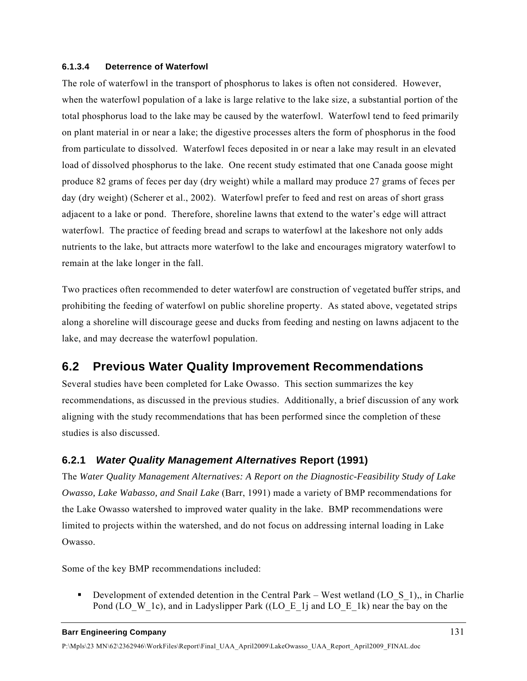### **6.1.3.4 Deterrence of Waterfowl**

The role of waterfowl in the transport of phosphorus to lakes is often not considered. However, when the waterfowl population of a lake is large relative to the lake size, a substantial portion of the total phosphorus load to the lake may be caused by the waterfowl. Waterfowl tend to feed primarily on plant material in or near a lake; the digestive processes alters the form of phosphorus in the food from particulate to dissolved. Waterfowl feces deposited in or near a lake may result in an elevated load of dissolved phosphorus to the lake. One recent study estimated that one Canada goose might produce 82 grams of feces per day (dry weight) while a mallard may produce 27 grams of feces per day (dry weight) (Scherer et al., 2002). Waterfowl prefer to feed and rest on areas of short grass adjacent to a lake or pond. Therefore, shoreline lawns that extend to the water's edge will attract waterfowl. The practice of feeding bread and scraps to waterfowl at the lakeshore not only adds nutrients to the lake, but attracts more waterfowl to the lake and encourages migratory waterfowl to remain at the lake longer in the fall.

Two practices often recommended to deter waterfowl are construction of vegetated buffer strips, and prohibiting the feeding of waterfowl on public shoreline property. As stated above, vegetated strips along a shoreline will discourage geese and ducks from feeding and nesting on lawns adjacent to the lake, and may decrease the waterfowl population.

# **6.2 Previous Water Quality Improvement Recommendations**

Several studies have been completed for Lake Owasso. This section summarizes the key recommendations, as discussed in the previous studies. Additionally, a brief discussion of any work aligning with the study recommendations that has been performed since the completion of these studies is also discussed.

# **6.2.1** *Water Quality Management Alternatives* **Report (1991)**

The *Water Quality Management Alternatives: A Report on the Diagnostic-Feasibility Study of Lake Owasso, Lake Wabasso, and Snail Lake* (Barr, 1991) made a variety of BMP recommendations for the Lake Owasso watershed to improved water quality in the lake. BMP recommendations were limited to projects within the watershed, and do not focus on addressing internal loading in Lake Owasso.

Some of the key BMP recommendations included:

Development of extended detention in the Central Park – West wetland (LO  $\overline{S}$  1),, in Charlie Pond (LO\_W\_1c), and in Ladyslipper Park ((LO\_E\_1j and LO\_E\_1k) near the bay on the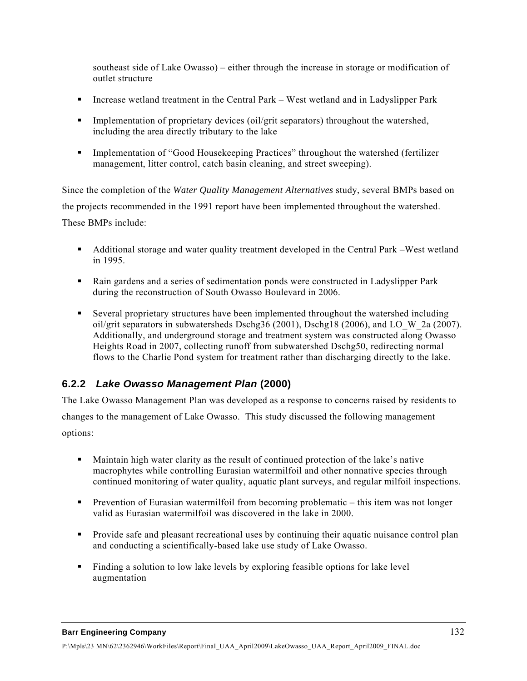southeast side of Lake Owasso) – either through the increase in storage or modification of outlet structure

- Increase wetland treatment in the Central Park West wetland and in Ladyslipper Park
- **Implementation of proprietary devices (oil/grit separators) throughout the watershed,** including the area directly tributary to the lake
- Implementation of "Good Housekeeping Practices" throughout the watershed (fertilizer management, litter control, catch basin cleaning, and street sweeping).

Since the completion of the *Water Quality Management Alternatives* study, several BMPs based on the projects recommended in the 1991 report have been implemented throughout the watershed. These BMPs include:

- Additional storage and water quality treatment developed in the Central Park –West wetland in 1995.
- Rain gardens and a series of sedimentation ponds were constructed in Ladyslipper Park during the reconstruction of South Owasso Boulevard in 2006.
- Several proprietary structures have been implemented throughout the watershed including oil/grit separators in subwatersheds Dschg36 (2001), Dschg18 (2006), and LO\_W\_2a (2007). Additionally, and underground storage and treatment system was constructed along Owasso Heights Road in 2007, collecting runoff from subwatershed Dschg50, redirecting normal flows to the Charlie Pond system for treatment rather than discharging directly to the lake.

# **6.2.2** *Lake Owasso Management Plan* **(2000)**

The Lake Owasso Management Plan was developed as a response to concerns raised by residents to changes to the management of Lake Owasso. This study discussed the following management options:

- Maintain high water clarity as the result of continued protection of the lake's native macrophytes while controlling Eurasian watermilfoil and other nonnative species through continued monitoring of water quality, aquatic plant surveys, and regular milfoil inspections.
- Prevention of Eurasian watermilfoil from becoming problematic this item was not longer valid as Eurasian watermilfoil was discovered in the lake in 2000.
- **Provide safe and pleasant recreational uses by continuing their aquatic nuisance control plan** and conducting a scientifically-based lake use study of Lake Owasso.
- Finding a solution to low lake levels by exploring feasible options for lake level augmentation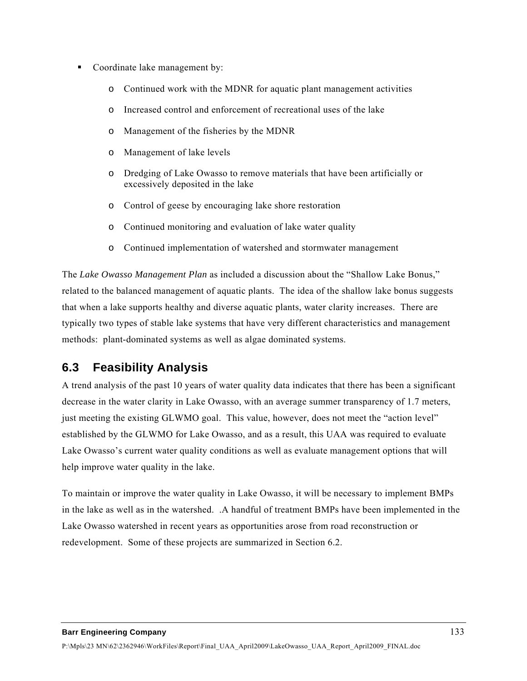- Coordinate lake management by:
	- o Continued work with the MDNR for aquatic plant management activities
	- o Increased control and enforcement of recreational uses of the lake
	- o Management of the fisheries by the MDNR
	- o Management of lake levels
	- o Dredging of Lake Owasso to remove materials that have been artificially or excessively deposited in the lake
	- o Control of geese by encouraging lake shore restoration
	- o Continued monitoring and evaluation of lake water quality
	- o Continued implementation of watershed and stormwater management

The *Lake Owasso Management Plan* as included a discussion about the "Shallow Lake Bonus," related to the balanced management of aquatic plants. The idea of the shallow lake bonus suggests that when a lake supports healthy and diverse aquatic plants, water clarity increases. There are typically two types of stable lake systems that have very different characteristics and management methods: plant-dominated systems as well as algae dominated systems.

# **6.3 Feasibility Analysis**

A trend analysis of the past 10 years of water quality data indicates that there has been a significant decrease in the water clarity in Lake Owasso, with an average summer transparency of 1.7 meters, just meeting the existing GLWMO goal. This value, however, does not meet the "action level" established by the GLWMO for Lake Owasso, and as a result, this UAA was required to evaluate Lake Owasso's current water quality conditions as well as evaluate management options that will help improve water quality in the lake.

To maintain or improve the water quality in Lake Owasso, it will be necessary to implement BMPs in the lake as well as in the watershed. .A handful of treatment BMPs have been implemented in the Lake Owasso watershed in recent years as opportunities arose from road reconstruction or redevelopment. Some of these projects are summarized in Section 6.2.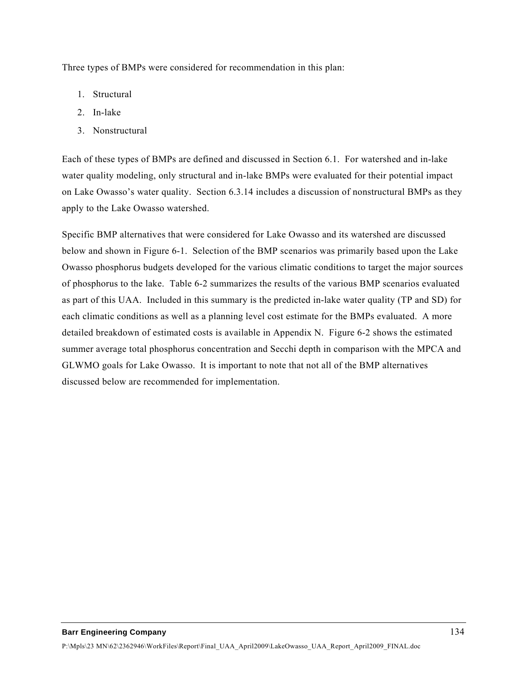Three types of BMPs were considered for recommendation in this plan:

- 1. Structural
- 2. In-lake
- 3. Nonstructural

Each of these types of BMPs are defined and discussed in Section 6.1. For watershed and in-lake water quality modeling, only structural and in-lake BMPs were evaluated for their potential impact on Lake Owasso's water quality. Section 6.3.14 includes a discussion of nonstructural BMPs as they apply to the Lake Owasso watershed.

Specific BMP alternatives that were considered for Lake Owasso and its watershed are discussed below and shown in Figure 6-1. Selection of the BMP scenarios was primarily based upon the Lake Owasso phosphorus budgets developed for the various climatic conditions to target the major sources of phosphorus to the lake. Table 6-2 summarizes the results of the various BMP scenarios evaluated as part of this UAA. Included in this summary is the predicted in-lake water quality (TP and SD) for each climatic conditions as well as a planning level cost estimate for the BMPs evaluated. A more detailed breakdown of estimated costs is available in Appendix N. Figure 6-2 shows the estimated summer average total phosphorus concentration and Secchi depth in comparison with the MPCA and GLWMO goals for Lake Owasso. It is important to note that not all of the BMP alternatives discussed below are recommended for implementation.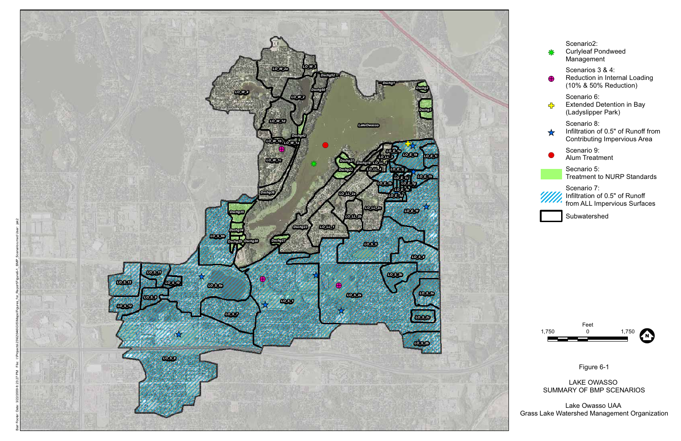



Figure 6-1

LAKE OWASSO SUMMARY OF BMP SCENARIOS

Lake Owasso UAA Grass Lake Watershed Management Organization

| 왏             | Scenario2:<br><b>Curlyleaf Pondweed</b><br>Management                              |
|---------------|------------------------------------------------------------------------------------|
|               | Scenarios 3 & 4:<br>Reduction in Internal Loading<br>(10% & 50% Reduction)         |
| 주             | Scenario 6:<br><b>Extended Detention in Bay</b><br>(Ladyslipper Park)              |
| ☆             | Scenario 8:<br>Infiltration of 0.5" of Runoff from<br>Contributing Impervious Area |
|               | Scenario 9:<br>Alum Treatment                                                      |
|               | Secnario 5:<br><b>Treatment to NURP Standards</b>                                  |
| $\mathscr{W}$ | Scenario 7:<br>Infiltration of 0.5" of Runoff<br>from ALL Impervious Surfaces      |



Subwatershed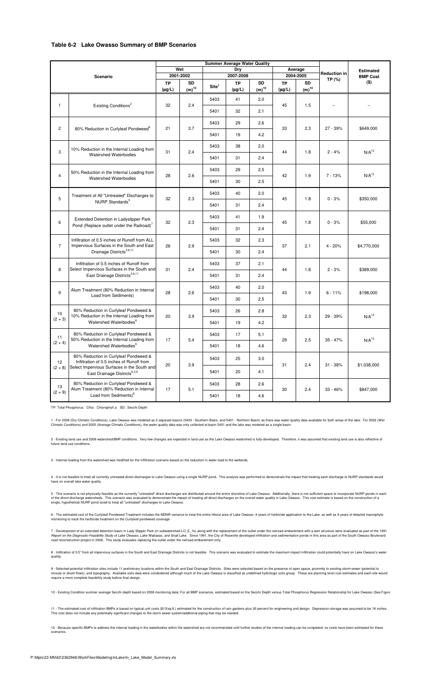#### **Table 6-2 Lake Owasso Summary of BMP Scenarios**

12 - Because specific BMPs to address the internal loading in the waterbodies within the watershed are not recommended until further studies of the internal loading can be completed, no costs have been estimated for these scenarios.

5 - This scenario is not physically feasible as the currently "untreated" direct discharges are distributed around the entire shoreline of Lake Owasso. Additionally, there is not sufficient space to incorporate NURP ponds of the direct discharge watersheds. This scenario was evaluated to demonstrate the impact of treating all direct discharges on the overall water quality in Lake Owasso. This cost estimate is based on the construction of a

10 - Existing Condition summer average Secchi depth based on 2008 monitoring data; For all BMP scenarios, estimated based on the Secchi Depth versus Total Phosphorus Regression Relationship for Lake Owasso (See Figure 5-2)

7 - Development of an extended detention basin in Lady Slipper Park (in subwatershed LO\_E\_1k) along with the replacement of the outlet under the railroad embankment with a weir structure were evaluated as part of the 1991 Report on the Diagnostic-Feasibility Study of Lake Owasso, Lake Wabasso, and Snail Lake. Since 1991, the City of Roseville developed infiltration and sedimentation ponds in this area as part of the South Owasso Boulevard road reconstruction project in 2006. This study evaluates replacing the outlet under the railroad embankment only.

single, hypothetical NURP pond sized to treat all "untreated" discharges to Lake Owasso.

6 - The estimated cost of the Curlyleaf Pondweed Treatment includes the MDNR variance to treat the entire littoral area of Lake Owasso, 4-years of herbicide application to the Lake, as well as 4-years of detailed macrophyte monitoring to track the herbicide treatment on the Curlyleaf pondweed coverage

8 - Infiltration of 0.5" from all impervious surfaces in the South and East Drainage Districts is not feasible. This scenario was evaluated to estimate the maximum impact infiltration could potentially have on Lake Owasso' quality.

9 - Selected potential infiltration sites include 11 preliminary locations within the South and East Drainage Districts. Sites were selected based on the presence of open space, proximity to existing storm sewer (potential reroute or divert flows), and topography. Available soils data were condsidered although much of the Lake Owasso is classified as undefined hydrologic soils group. These are planning level cost estimates and each site wo

| <b>Summer Average Water Quality</b> |                                                                                            |                          |                         |                   |                          |                         |                          |                               |                  |                   |
|-------------------------------------|--------------------------------------------------------------------------------------------|--------------------------|-------------------------|-------------------|--------------------------|-------------------------|--------------------------|-------------------------------|------------------|-------------------|
| Scenario                            |                                                                                            | Wet                      |                         | Dry               |                          | Average                 |                          | <b>Reduction in</b><br>TP (%) | <b>Estimated</b> |                   |
|                                     |                                                                                            | 2001-2002                |                         | 2007-2008         |                          | 2004-2005               |                          |                               | <b>BMP Cost</b>  |                   |
|                                     |                                                                                            | <b>TP</b><br>$(\mu g/L)$ | <b>SD</b><br>$(m)^{10}$ | Site <sup>1</sup> | <b>TP</b><br>$(\mu g/L)$ | <b>SD</b><br>$(m)^{10}$ | <b>TP</b><br>$(\mu g/L)$ | <b>SD</b><br>$(m)^{10}$       |                  | $($ \$)           |
|                                     | $\mathbf{1}$<br>Existing Conditions <sup>2</sup>                                           |                          | 2.4                     | 5403              | 41                       | 2.0                     | 45                       | 1.5                           | $- -$            |                   |
|                                     |                                                                                            | 32                       |                         | 5401              | 32                       | 2.1                     |                          |                               |                  |                   |
| $\mathbf{2}$                        |                                                                                            |                          | 3.7                     | 5403              | 29                       | 2.6                     | 33                       | 2.3                           | 27 - 39%         | \$649,000         |
|                                     | 80% Reduction in Curlyleaf Pondweed <sup>6</sup>                                           | 21                       |                         | 5401              | 19                       | 4.2                     |                          |                               |                  |                   |
| 3                                   | 10% Reduction in the Internal Loading from                                                 | 31                       | 2.4                     | 5403              | 38                       | 2.0                     | 44                       | 1.8                           | $2 - 4%$         | N/A <sup>12</sup> |
|                                     | <b>Watershed Waterbodies</b>                                                               |                          |                         | 5401              | 31                       | 2.4                     |                          |                               |                  |                   |
| $\overline{4}$                      | 50% Reduction in the Internal Loading from                                                 | 28                       | 2.6                     | 5403              | 29                       | 2.5                     | 42                       | 1.9                           | $7 - 13%$        | N/A <sup>12</sup> |
|                                     | <b>Watershed Waterbodies</b>                                                               |                          |                         | 5401              | 30                       | 2.5                     |                          |                               |                  |                   |
| 5                                   | Treatment of All "Untreated" Discharges to                                                 | 32                       | 2.3                     | 5403              | 40                       | 2.0                     | 45                       | 1.8                           | $0 - 3%$         | \$350,000         |
|                                     | NURP Standards <sup>5</sup>                                                                |                          |                         | 5401              | 31                       | 2.4                     |                          |                               |                  |                   |
| 6                                   | Extended Detention in Ladyslipper Park                                                     | 32                       | 2.3                     | 5403              | 41                       | 1.9                     | 45                       | 1.8                           | $0 - 3%$         | \$55,000          |
|                                     | Pond (Replace outlet under the Railroad) <sup>7</sup>                                      |                          |                         | 5401              | 31                       | 2.4                     |                          |                               |                  |                   |
| $\overline{7}$                      | Infiltration of 0.5 inches of Runoff from ALL<br>Impervious Surfaces in the South and East | 26                       | 2.9                     | 5403              | 32                       | 2.3                     | 37                       | 2.1                           | $4 - 20%$        | \$4,770,000       |
|                                     | Drainage Districts <sup>3,8,11</sup>                                                       |                          |                         | 5401              | 30                       | 2.4                     |                          |                               |                  |                   |
| 8                                   | Infiltration of 0.5 inches of Runoff from<br>Select Impervious Surfaces in the South and   | 31                       | 2.4                     | 5403              | 37                       | 2.1                     | 44                       | 1.8                           | $2 - 3%$         | \$389,000         |
|                                     | East Drainage Districts <sup>3,9,11</sup>                                                  |                          |                         | 5401              | 31                       | 2.4                     |                          |                               |                  |                   |
| 9                                   | Alum Treatment (80% Reduction in Internal                                                  | 28                       | 2.6                     | 5403              | 40                       | 2.0                     | 43                       | 1.9                           | $6 - 11%$        | \$198,000         |
|                                     | Load from Sediments)                                                                       |                          |                         | 5401              | 30                       | 2.5                     |                          |                               |                  |                   |
| 10                                  | 80% Reduction in Curlyleaf Pondweed &<br>10% Reduction in the Internal Loading from        | 20                       | 3.9                     | 5403              | 26                       | 2.8                     | 32                       | 2.3                           | 29 - 39%         | N/A <sup>12</sup> |
| $(2 + 3)$                           | Watershed Waterbodies <sup>6</sup>                                                         |                          |                         | 5401              | 19                       | 4.2                     |                          |                               |                  |                   |
| 11                                  | 80% Reduction in Curlyleaf Pondweed &<br>50% Reduction in the Internal Loading from        |                          | 5.4                     | 5403              | 17                       | 5.1                     | 29                       | 2.5                           | $35 - 47%$       | $N/A^{12}$        |
| $(2 + 4)$                           | Watershed Waterbodies <sup>6</sup>                                                         | 17                       |                         | 5401              | 18                       | 4.6                     |                          |                               |                  |                   |
| 12                                  | 80% Reduction in Curlyleaf Pondweed &<br>Infiltration of 0.5 inches of Runoff from         | 20                       | 3.9                     | 5403              | 25                       | 3.0                     | 31                       | 2.4                           | $31 - 38%$       | \$1,038,000       |
| $(2 + 8)$                           | Select Impervious Surfaces in the South and<br>East Drainage Districts <sup>6,3,9</sup>    |                          |                         | 5401              | 20                       | 4.1                     |                          |                               |                  |                   |
| 13                                  | 80% Reduction in Curlyleaf Pondweed &<br>Alum Treatment (80% Reduction in Internal         | 17                       | 5.1                     | 5403              | 28                       | 2.6                     | 30                       | 2.4                           | $33 - 46%$       | \$847,000         |
| $(2 + 9)$                           | Load from Sediments) <sup>6</sup>                                                          |                          |                         | 5401              | 18                       | 4.6                     |                          |                               |                  |                   |

TP: Total Phosphorus Chla: Chlorophyll a SD: Secchi Depth

11 - The estimated cost of infiltration BMPs is based on typical unit costs (\$13/sq.ft.) estimated for the construction of rain gardens plus 30 percent for engineering and design. Depression storage was assumed to be 18 in This cost does not include any potentially significant changes to the storm sewer system/additional piping that may be needed.

2 - Existing land use and 2008 watershed/BMP conditions. Very few changes are expected in land use as the Lake Owasso watershed is fully-developed. Therefore, it was assumed that existing land use is also reflective of future land use conditions.

1 - For 2008 (Dry Climatic Conditions), Lake Owasso was modeled as 2 separate basins (5403 - Southern Basin, and 5401 - Northern Basin) as there was water quality data available for both areas of the lake. For 2002 (Wet Climatic Conditions) and 2005 (Average Climatic Conditions), the water quality data was only collected at basin 5401 and the lake was modeled as a single basin.

3 - Internal loading from the watershed was modified for the infiltration scenario based on the reduction in water load to the wetlands.

4 - It is not feasible to treat all currently untreated direct discharges to Lake Owasso using a single NURP pond. This analysis was performed to demonstrate the impact that treating each discharge to NURP standards would have on overall lake water quality

P:\Mpls\23 MN\62\2362946\WorkFiles\Modeling\InLake\In\_Lake\_Model\_Summary.xls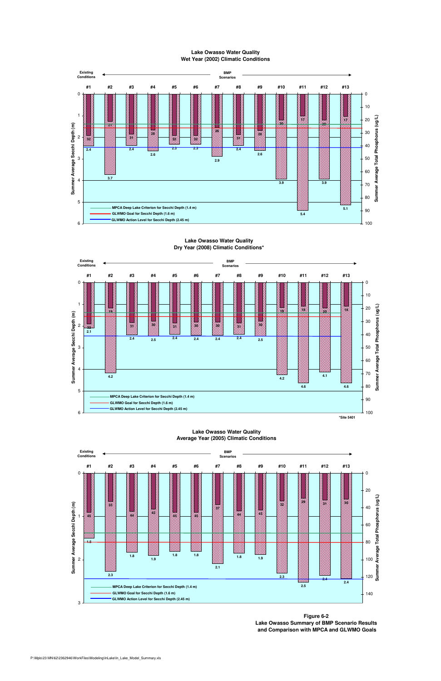

## **Lake Owasso Water Quality Wet Year (2002) Climatic Conditions**

## **Lake Owasso Water Quality Dry Year (2008) Climatic Conditions\***





#### 0 **#1 #2 #3 #4 #5 #6 #7 #8 #9 #10 #11 #12 #13** 0 20 **Existing Conditions BMP Scenarios**

#### **Lake Owasso Water Quality Average Year (2005) Climatic Conditions**

**Figure 6-2 Lake Owasso Summary of BMP Scenario Results and Comparison with MPCA and GLWMO Goals**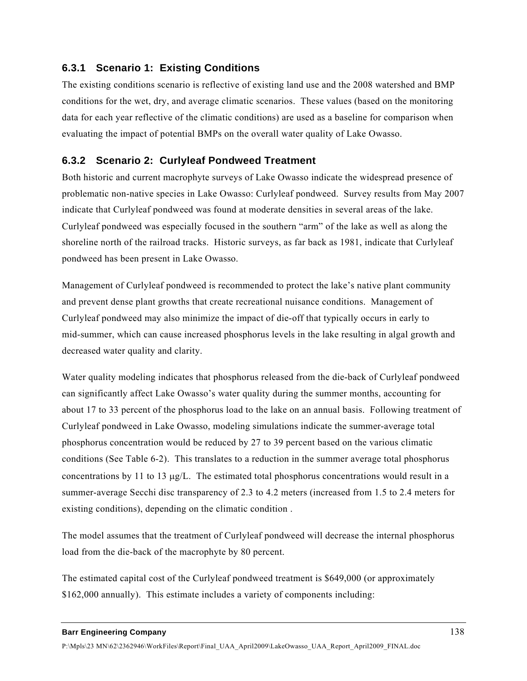## **6.3.1 Scenario 1: Existing Conditions**

The existing conditions scenario is reflective of existing land use and the 2008 watershed and BMP conditions for the wet, dry, and average climatic scenarios. These values (based on the monitoring data for each year reflective of the climatic conditions) are used as a baseline for comparison when evaluating the impact of potential BMPs on the overall water quality of Lake Owasso.

# **6.3.2 Scenario 2: Curlyleaf Pondweed Treatment**

Both historic and current macrophyte surveys of Lake Owasso indicate the widespread presence of problematic non-native species in Lake Owasso: Curlyleaf pondweed. Survey results from May 2007 indicate that Curlyleaf pondweed was found at moderate densities in several areas of the lake. Curlyleaf pondweed was especially focused in the southern "arm" of the lake as well as along the shoreline north of the railroad tracks. Historic surveys, as far back as 1981, indicate that Curlyleaf pondweed has been present in Lake Owasso.

Management of Curlyleaf pondweed is recommended to protect the lake's native plant community and prevent dense plant growths that create recreational nuisance conditions. Management of Curlyleaf pondweed may also minimize the impact of die-off that typically occurs in early to mid-summer, which can cause increased phosphorus levels in the lake resulting in algal growth and decreased water quality and clarity.

Water quality modeling indicates that phosphorus released from the die-back of Curlyleaf pondweed can significantly affect Lake Owasso's water quality during the summer months, accounting for about 17 to 33 percent of the phosphorus load to the lake on an annual basis. Following treatment of Curlyleaf pondweed in Lake Owasso, modeling simulations indicate the summer-average total phosphorus concentration would be reduced by 27 to 39 percent based on the various climatic conditions (See Table 6-2). This translates to a reduction in the summer average total phosphorus concentrations by 11 to 13 μg/L. The estimated total phosphorus concentrations would result in a summer-average Secchi disc transparency of 2.3 to 4.2 meters (increased from 1.5 to 2.4 meters for existing conditions), depending on the climatic condition .

The model assumes that the treatment of Curlyleaf pondweed will decrease the internal phosphorus load from the die-back of the macrophyte by 80 percent.

The estimated capital cost of the Curlyleaf pondweed treatment is \$649,000 (or approximately \$162,000 annually). This estimate includes a variety of components including: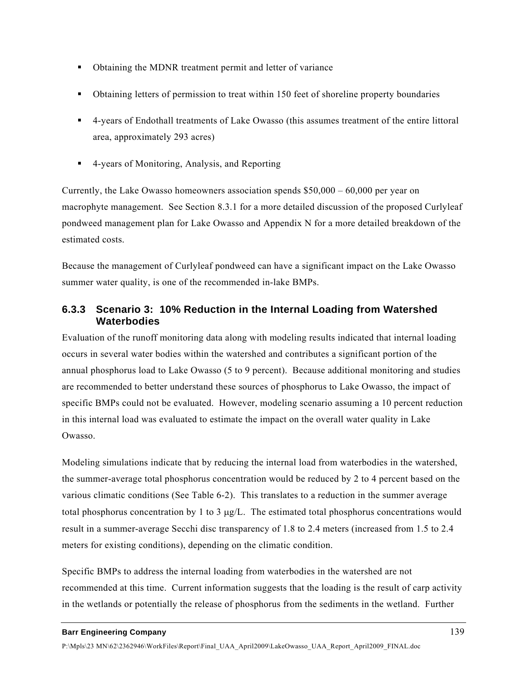- Obtaining the MDNR treatment permit and letter of variance
- Obtaining letters of permission to treat within 150 feet of shoreline property boundaries
- 4-years of Endothall treatments of Lake Owasso (this assumes treatment of the entire littoral area, approximately 293 acres)
- 4-years of Monitoring, Analysis, and Reporting

Currently, the Lake Owasso homeowners association spends  $$50,000 - 60,000$  per year on macrophyte management. See Section 8.3.1 for a more detailed discussion of the proposed Curlyleaf pondweed management plan for Lake Owasso and Appendix N for a more detailed breakdown of the estimated costs.

Because the management of Curlyleaf pondweed can have a significant impact on the Lake Owasso summer water quality, is one of the recommended in-lake BMPs.

# **6.3.3 Scenario 3: 10% Reduction in the Internal Loading from Watershed Waterbodies**

Evaluation of the runoff monitoring data along with modeling results indicated that internal loading occurs in several water bodies within the watershed and contributes a significant portion of the annual phosphorus load to Lake Owasso (5 to 9 percent). Because additional monitoring and studies are recommended to better understand these sources of phosphorus to Lake Owasso, the impact of specific BMPs could not be evaluated. However, modeling scenario assuming a 10 percent reduction in this internal load was evaluated to estimate the impact on the overall water quality in Lake Owasso.

Modeling simulations indicate that by reducing the internal load from waterbodies in the watershed, the summer-average total phosphorus concentration would be reduced by 2 to 4 percent based on the various climatic conditions (See Table 6-2). This translates to a reduction in the summer average total phosphorus concentration by 1 to 3  $\mu$ g/L. The estimated total phosphorus concentrations would result in a summer-average Secchi disc transparency of 1.8 to 2.4 meters (increased from 1.5 to 2.4 meters for existing conditions), depending on the climatic condition.

Specific BMPs to address the internal loading from waterbodies in the watershed are not recommended at this time. Current information suggests that the loading is the result of carp activity in the wetlands or potentially the release of phosphorus from the sediments in the wetland. Further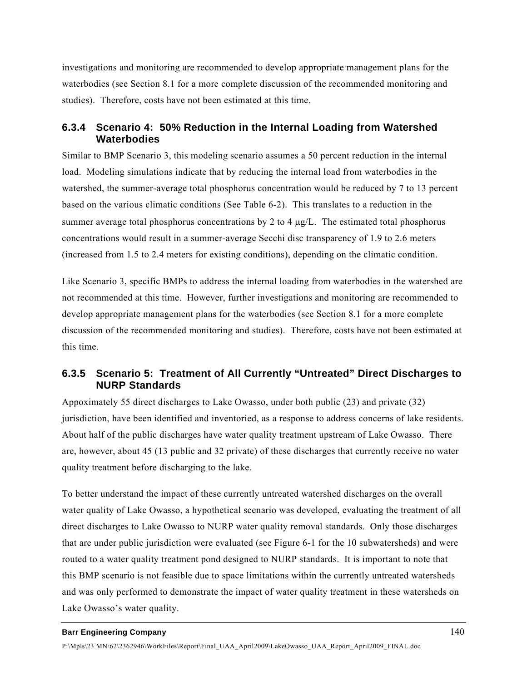investigations and monitoring are recommended to develop appropriate management plans for the waterbodies (see Section 8.1 for a more complete discussion of the recommended monitoring and studies). Therefore, costs have not been estimated at this time.

## **6.3.4 Scenario 4: 50% Reduction in the Internal Loading from Watershed Waterbodies**

Similar to BMP Scenario 3, this modeling scenario assumes a 50 percent reduction in the internal load. Modeling simulations indicate that by reducing the internal load from waterbodies in the watershed, the summer-average total phosphorus concentration would be reduced by 7 to 13 percent based on the various climatic conditions (See Table 6-2). This translates to a reduction in the summer average total phosphorus concentrations by 2 to 4 μg/L. The estimated total phosphorus concentrations would result in a summer-average Secchi disc transparency of 1.9 to 2.6 meters (increased from 1.5 to 2.4 meters for existing conditions), depending on the climatic condition.

Like Scenario 3, specific BMPs to address the internal loading from waterbodies in the watershed are not recommended at this time. However, further investigations and monitoring are recommended to develop appropriate management plans for the waterbodies (see Section 8.1 for a more complete discussion of the recommended monitoring and studies). Therefore, costs have not been estimated at this time.

# **6.3.5 Scenario 5: Treatment of All Currently "Untreated" Direct Discharges to NURP Standards**

Appoximately 55 direct discharges to Lake Owasso, under both public (23) and private (32) jurisdiction, have been identified and inventoried, as a response to address concerns of lake residents. About half of the public discharges have water quality treatment upstream of Lake Owasso. There are, however, about 45 (13 public and 32 private) of these discharges that currently receive no water quality treatment before discharging to the lake.

To better understand the impact of these currently untreated watershed discharges on the overall water quality of Lake Owasso, a hypothetical scenario was developed, evaluating the treatment of all direct discharges to Lake Owasso to NURP water quality removal standards. Only those discharges that are under public jurisdiction were evaluated (see Figure 6-1 for the 10 subwatersheds) and were routed to a water quality treatment pond designed to NURP standards. It is important to note that this BMP scenario is not feasible due to space limitations within the currently untreated watersheds and was only performed to demonstrate the impact of water quality treatment in these watersheds on Lake Owasso's water quality.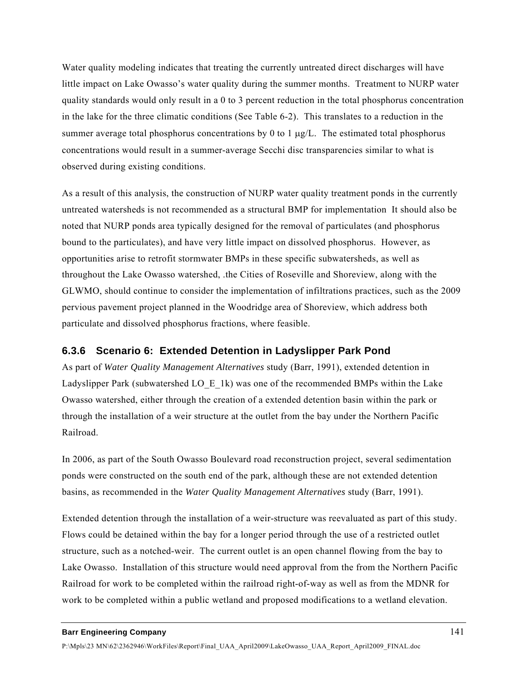Water quality modeling indicates that treating the currently untreated direct discharges will have little impact on Lake Owasso's water quality during the summer months. Treatment to NURP water quality standards would only result in a 0 to 3 percent reduction in the total phosphorus concentration in the lake for the three climatic conditions (See Table 6-2). This translates to a reduction in the summer average total phosphorus concentrations by 0 to 1  $\mu$ g/L. The estimated total phosphorus concentrations would result in a summer-average Secchi disc transparencies similar to what is observed during existing conditions.

As a result of this analysis, the construction of NURP water quality treatment ponds in the currently untreated watersheds is not recommended as a structural BMP for implementation It should also be noted that NURP ponds area typically designed for the removal of particulates (and phosphorus bound to the particulates), and have very little impact on dissolved phosphorus. However, as opportunities arise to retrofit stormwater BMPs in these specific subwatersheds, as well as throughout the Lake Owasso watershed, .the Cities of Roseville and Shoreview, along with the GLWMO, should continue to consider the implementation of infiltrations practices, such as the 2009 pervious pavement project planned in the Woodridge area of Shoreview, which address both particulate and dissolved phosphorus fractions, where feasible.

## **6.3.6 Scenario 6: Extended Detention in Ladyslipper Park Pond**

As part of *Water Quality Management Alternatives* study (Barr, 1991), extended detention in Ladyslipper Park (subwatershed LO  $E_1(k)$  was one of the recommended BMPs within the Lake Owasso watershed, either through the creation of a extended detention basin within the park or through the installation of a weir structure at the outlet from the bay under the Northern Pacific Railroad.

In 2006, as part of the South Owasso Boulevard road reconstruction project, several sedimentation ponds were constructed on the south end of the park, although these are not extended detention basins, as recommended in the *Water Quality Management Alternatives* study (Barr, 1991).

Extended detention through the installation of a weir-structure was reevaluated as part of this study. Flows could be detained within the bay for a longer period through the use of a restricted outlet structure, such as a notched-weir. The current outlet is an open channel flowing from the bay to Lake Owasso. Installation of this structure would need approval from the from the Northern Pacific Railroad for work to be completed within the railroad right-of-way as well as from the MDNR for work to be completed within a public wetland and proposed modifications to a wetland elevation.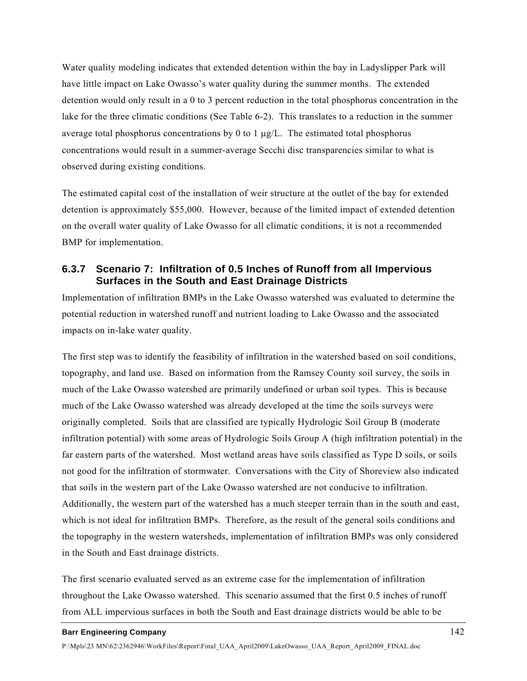Water quality modeling indicates that extended detention within the bay in Ladyslipper Park will have little impact on Lake Owasso's water quality during the summer months. The extended detention would only result in a 0 to 3 percent reduction in the total phosphorus concentration in the lake for the three climatic conditions (See Table 6-2). This translates to a reduction in the summer average total phosphorus concentrations by 0 to 1  $\mu$ g/L. The estimated total phosphorus concentrations would result in a summer-average Secchi disc transparencies similar to what is observed during existing conditions.

The estimated capital cost of the installation of weir structure at the outlet of the bay for extended detention is approximately \$55,000. However, because of the limited impact of extended detention on the overall water quality of Lake Owasso for all climatic conditions, it is not a recommended BMP for implementation.

## **6.3.7 Scenario 7: Infiltration of 0.5 Inches of Runoff from all Impervious Surfaces in the South and East Drainage Districts**

Implementation of infiltration BMPs in the Lake Owasso watershed was evaluated to determine the potential reduction in watershed runoff and nutrient loading to Lake Owasso and the associated impacts on in-lake water quality.

The first step was to identify the feasibility of infiltration in the watershed based on soil conditions, topography, and land use. Based on information from the Ramsey County soil survey, the soils in much of the Lake Owasso watershed are primarily undefined or urban soil types. This is because much of the Lake Owasso watershed was already developed at the time the soils surveys were originally completed. Soils that are classified are typically Hydrologic Soil Group B (moderate infiltration potential) with some areas of Hydrologic Soils Group A (high infiltration potential) in the far eastern parts of the watershed. Most wetland areas have soils classified as Type D soils, or soils not good for the infiltration of stormwater. Conversations with the City of Shoreview also indicated that soils in the western part of the Lake Owasso watershed are not conducive to infiltration. Additionally, the western part of the watershed has a much steeper terrain than in the south and east, which is not ideal for infiltration BMPs. Therefore, as the result of the general soils conditions and the topography in the western watersheds, implementation of infiltration BMPs was only considered in the South and East drainage districts.

The first scenario evaluated served as an extreme case for the implementation of infiltration throughout the Lake Owasso watershed. This scenario assumed that the first 0.5 inches of runoff from ALL impervious surfaces in both the South and East drainage districts would be able to be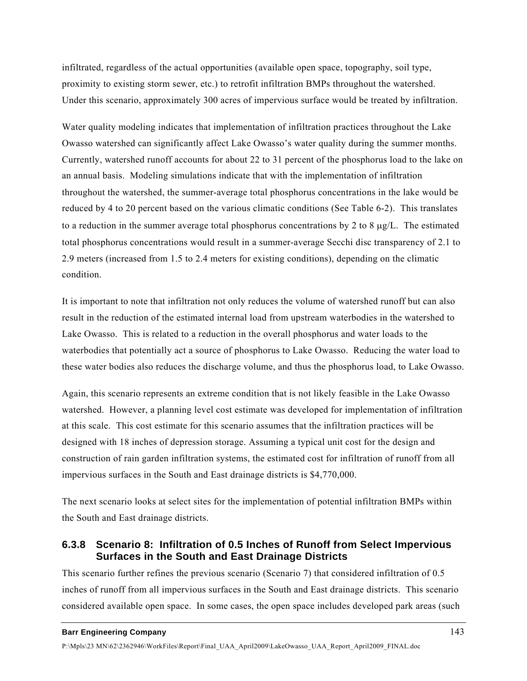infiltrated, regardless of the actual opportunities (available open space, topography, soil type, proximity to existing storm sewer, etc.) to retrofit infiltration BMPs throughout the watershed. Under this scenario, approximately 300 acres of impervious surface would be treated by infiltration.

Water quality modeling indicates that implementation of infiltration practices throughout the Lake Owasso watershed can significantly affect Lake Owasso's water quality during the summer months. Currently, watershed runoff accounts for about 22 to 31 percent of the phosphorus load to the lake on an annual basis. Modeling simulations indicate that with the implementation of infiltration throughout the watershed, the summer-average total phosphorus concentrations in the lake would be reduced by 4 to 20 percent based on the various climatic conditions (See Table 6-2). This translates to a reduction in the summer average total phosphorus concentrations by 2 to 8  $\mu$ g/L. The estimated total phosphorus concentrations would result in a summer-average Secchi disc transparency of 2.1 to 2.9 meters (increased from 1.5 to 2.4 meters for existing conditions), depending on the climatic condition.

It is important to note that infiltration not only reduces the volume of watershed runoff but can also result in the reduction of the estimated internal load from upstream waterbodies in the watershed to Lake Owasso. This is related to a reduction in the overall phosphorus and water loads to the waterbodies that potentially act a source of phosphorus to Lake Owasso. Reducing the water load to these water bodies also reduces the discharge volume, and thus the phosphorus load, to Lake Owasso.

Again, this scenario represents an extreme condition that is not likely feasible in the Lake Owasso watershed. However, a planning level cost estimate was developed for implementation of infiltration at this scale. This cost estimate for this scenario assumes that the infiltration practices will be designed with 18 inches of depression storage. Assuming a typical unit cost for the design and construction of rain garden infiltration systems, the estimated cost for infiltration of runoff from all impervious surfaces in the South and East drainage districts is \$4,770,000.

The next scenario looks at select sites for the implementation of potential infiltration BMPs within the South and East drainage districts.

## **6.3.8 Scenario 8: Infiltration of 0.5 Inches of Runoff from Select Impervious Surfaces in the South and East Drainage Districts**

This scenario further refines the previous scenario (Scenario 7) that considered infiltration of 0.5 inches of runoff from all impervious surfaces in the South and East drainage districts. This scenario considered available open space. In some cases, the open space includes developed park areas (such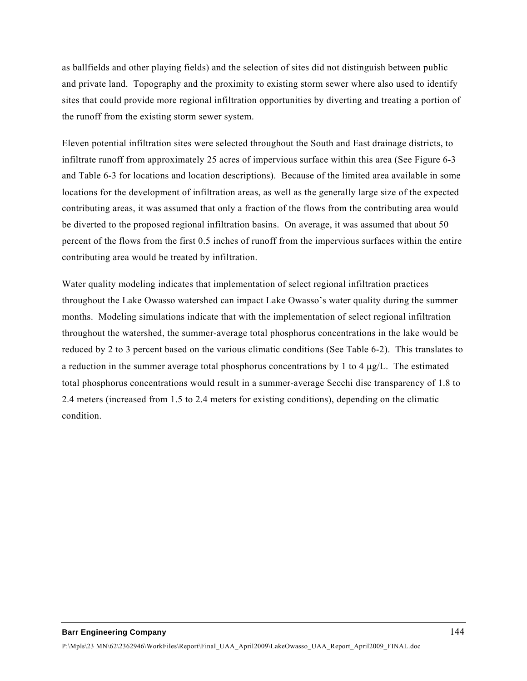as ballfields and other playing fields) and the selection of sites did not distinguish between public and private land. Topography and the proximity to existing storm sewer where also used to identify sites that could provide more regional infiltration opportunities by diverting and treating a portion of the runoff from the existing storm sewer system.

Eleven potential infiltration sites were selected throughout the South and East drainage districts, to infiltrate runoff from approximately 25 acres of impervious surface within this area (See Figure 6-3 and Table 6-3 for locations and location descriptions). Because of the limited area available in some locations for the development of infiltration areas, as well as the generally large size of the expected contributing areas, it was assumed that only a fraction of the flows from the contributing area would be diverted to the proposed regional infiltration basins. On average, it was assumed that about 50 percent of the flows from the first 0.5 inches of runoff from the impervious surfaces within the entire contributing area would be treated by infiltration.

Water quality modeling indicates that implementation of select regional infiltration practices throughout the Lake Owasso watershed can impact Lake Owasso's water quality during the summer months. Modeling simulations indicate that with the implementation of select regional infiltration throughout the watershed, the summer-average total phosphorus concentrations in the lake would be reduced by 2 to 3 percent based on the various climatic conditions (See Table 6-2). This translates to a reduction in the summer average total phosphorus concentrations by 1 to 4  $\mu$ g/L. The estimated total phosphorus concentrations would result in a summer-average Secchi disc transparency of 1.8 to 2.4 meters (increased from 1.5 to 2.4 meters for existing conditions), depending on the climatic condition.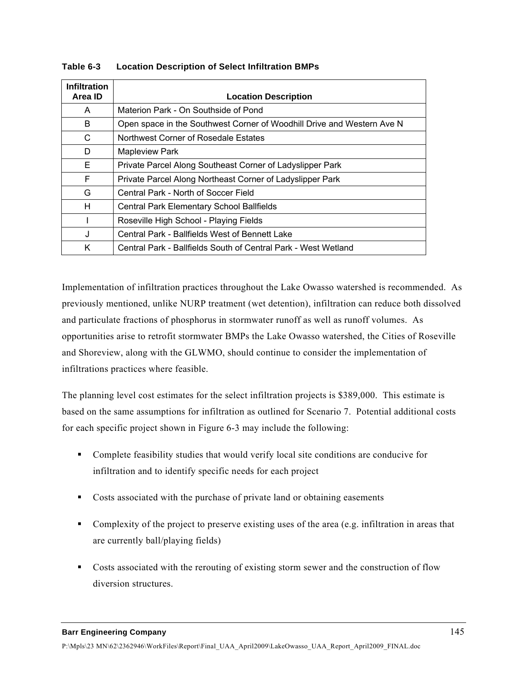| <b>Infiltration</b><br>Area ID | <b>Location Description</b>                                            |
|--------------------------------|------------------------------------------------------------------------|
| A                              | Materion Park - On Southside of Pond                                   |
| B                              | Open space in the Southwest Corner of Woodhill Drive and Western Ave N |
| C                              | Northwest Corner of Rosedale Estates                                   |
| D                              | <b>Mapleview Park</b>                                                  |
| E                              | Private Parcel Along Southeast Corner of Ladyslipper Park              |
| F                              | Private Parcel Along Northeast Corner of Ladyslipper Park              |
| G                              | Central Park - North of Soccer Field                                   |
| H                              | <b>Central Park Elementary School Ballfields</b>                       |
|                                | Roseville High School - Playing Fields                                 |
| J                              | Central Park - Ballfields West of Bennett Lake                         |
| K                              | Central Park - Ballfields South of Central Park - West Wetland         |

## **Table 6-3 Location Description of Select Infiltration BMPs**

Implementation of infiltration practices throughout the Lake Owasso watershed is recommended. As previously mentioned, unlike NURP treatment (wet detention), infiltration can reduce both dissolved and particulate fractions of phosphorus in stormwater runoff as well as runoff volumes. As opportunities arise to retrofit stormwater BMPs the Lake Owasso watershed, the Cities of Roseville and Shoreview, along with the GLWMO, should continue to consider the implementation of infiltrations practices where feasible.

The planning level cost estimates for the select infiltration projects is \$389,000. This estimate is based on the same assumptions for infiltration as outlined for Scenario 7. Potential additional costs for each specific project shown in Figure 6-3 may include the following:

- Complete feasibility studies that would verify local site conditions are conducive for infiltration and to identify specific needs for each project
- Costs associated with the purchase of private land or obtaining easements
- Complexity of the project to preserve existing uses of the area (e.g. infiltration in areas that are currently ball/playing fields)
- Costs associated with the rerouting of existing storm sewer and the construction of flow diversion structures.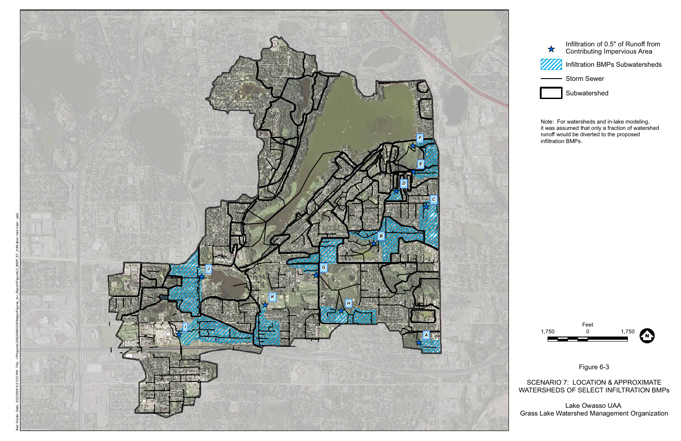

Figure 6-3



SCENARIO 7: LOCATION & APPROXIMATE WATERSHEDS OF SELECT INFILTRATION BMPs

Lake Owasso UAA Grass Lake Watershed Management Organization



Note: For watersheds and in-lake modeling, it was assumed that only a fraction of watershed runoff would be diverted to the proposed infiltration BMPs.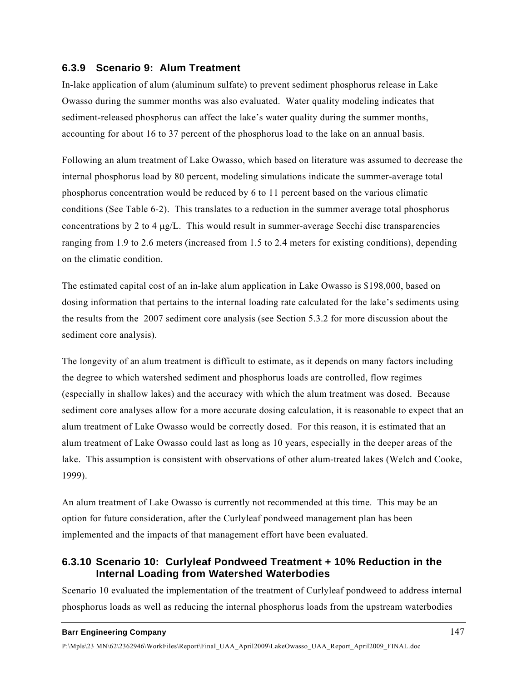## **6.3.9 Scenario 9: Alum Treatment**

In-lake application of alum (aluminum sulfate) to prevent sediment phosphorus release in Lake Owasso during the summer months was also evaluated. Water quality modeling indicates that sediment-released phosphorus can affect the lake's water quality during the summer months, accounting for about 16 to 37 percent of the phosphorus load to the lake on an annual basis.

Following an alum treatment of Lake Owasso, which based on literature was assumed to decrease the internal phosphorus load by 80 percent, modeling simulations indicate the summer-average total phosphorus concentration would be reduced by 6 to 11 percent based on the various climatic conditions (See Table 6-2). This translates to a reduction in the summer average total phosphorus concentrations by 2 to 4  $\mu$ g/L. This would result in summer-average Secchi disc transparencies ranging from 1.9 to 2.6 meters (increased from 1.5 to 2.4 meters for existing conditions), depending on the climatic condition.

The estimated capital cost of an in-lake alum application in Lake Owasso is \$198,000, based on dosing information that pertains to the internal loading rate calculated for the lake's sediments using the results from the 2007 sediment core analysis (see Section 5.3.2 for more discussion about the sediment core analysis).

The longevity of an alum treatment is difficult to estimate, as it depends on many factors including the degree to which watershed sediment and phosphorus loads are controlled, flow regimes (especially in shallow lakes) and the accuracy with which the alum treatment was dosed. Because sediment core analyses allow for a more accurate dosing calculation, it is reasonable to expect that an alum treatment of Lake Owasso would be correctly dosed. For this reason, it is estimated that an alum treatment of Lake Owasso could last as long as 10 years, especially in the deeper areas of the lake. This assumption is consistent with observations of other alum-treated lakes (Welch and Cooke, 1999).

An alum treatment of Lake Owasso is currently not recommended at this time. This may be an option for future consideration, after the Curlyleaf pondweed management plan has been implemented and the impacts of that management effort have been evaluated.

## **6.3.10 Scenario 10: Curlyleaf Pondweed Treatment + 10% Reduction in the Internal Loading from Watershed Waterbodies**

Scenario 10 evaluated the implementation of the treatment of Curlyleaf pondweed to address internal phosphorus loads as well as reducing the internal phosphorus loads from the upstream waterbodies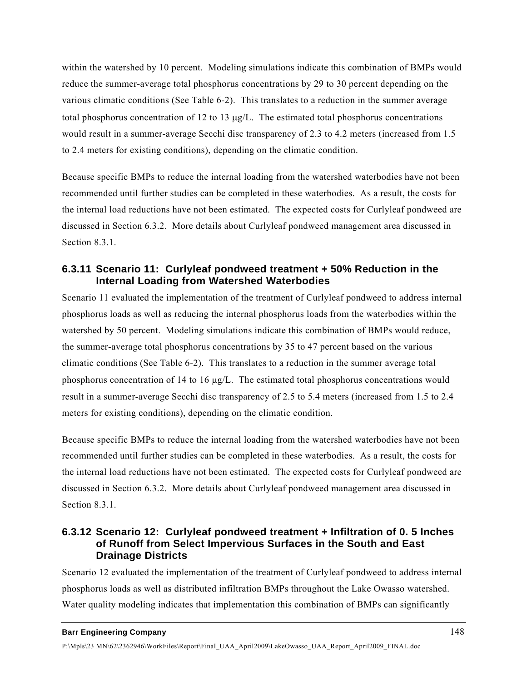within the watershed by 10 percent. Modeling simulations indicate this combination of BMPs would reduce the summer-average total phosphorus concentrations by 29 to 30 percent depending on the various climatic conditions (See Table 6-2). This translates to a reduction in the summer average total phosphorus concentration of 12 to 13 μg/L. The estimated total phosphorus concentrations would result in a summer-average Secchi disc transparency of 2.3 to 4.2 meters (increased from 1.5 to 2.4 meters for existing conditions), depending on the climatic condition.

Because specific BMPs to reduce the internal loading from the watershed waterbodies have not been recommended until further studies can be completed in these waterbodies. As a result, the costs for the internal load reductions have not been estimated. The expected costs for Curlyleaf pondweed are discussed in Section 6.3.2. More details about Curlyleaf pondweed management area discussed in Section 8.3.1.

## **6.3.11 Scenario 11: Curlyleaf pondweed treatment + 50% Reduction in the Internal Loading from Watershed Waterbodies**

Scenario 11 evaluated the implementation of the treatment of Curlyleaf pondweed to address internal phosphorus loads as well as reducing the internal phosphorus loads from the waterbodies within the watershed by 50 percent. Modeling simulations indicate this combination of BMPs would reduce, the summer-average total phosphorus concentrations by 35 to 47 percent based on the various climatic conditions (See Table 6-2). This translates to a reduction in the summer average total phosphorus concentration of 14 to 16  $\mu$ g/L. The estimated total phosphorus concentrations would result in a summer-average Secchi disc transparency of 2.5 to 5.4 meters (increased from 1.5 to 2.4 meters for existing conditions), depending on the climatic condition.

Because specific BMPs to reduce the internal loading from the watershed waterbodies have not been recommended until further studies can be completed in these waterbodies. As a result, the costs for the internal load reductions have not been estimated. The expected costs for Curlyleaf pondweed are discussed in Section 6.3.2. More details about Curlyleaf pondweed management area discussed in Section 8.3.1.

## **6.3.12 Scenario 12: Curlyleaf pondweed treatment + Infiltration of 0. 5 Inches of Runoff from Select Impervious Surfaces in the South and East Drainage Districts**

Scenario 12 evaluated the implementation of the treatment of Curlyleaf pondweed to address internal phosphorus loads as well as distributed infiltration BMPs throughout the Lake Owasso watershed. Water quality modeling indicates that implementation this combination of BMPs can significantly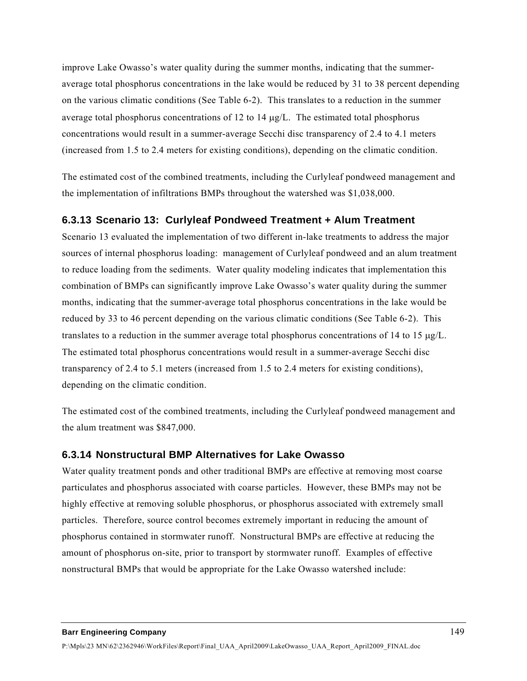improve Lake Owasso's water quality during the summer months, indicating that the summeraverage total phosphorus concentrations in the lake would be reduced by 31 to 38 percent depending on the various climatic conditions (See Table 6-2). This translates to a reduction in the summer average total phosphorus concentrations of 12 to 14  $\mu$ g/L. The estimated total phosphorus concentrations would result in a summer-average Secchi disc transparency of 2.4 to 4.1 meters (increased from 1.5 to 2.4 meters for existing conditions), depending on the climatic condition.

The estimated cost of the combined treatments, including the Curlyleaf pondweed management and the implementation of infiltrations BMPs throughout the watershed was \$1,038,000.

## **6.3.13 Scenario 13: Curlyleaf Pondweed Treatment + Alum Treatment**

Scenario 13 evaluated the implementation of two different in-lake treatments to address the major sources of internal phosphorus loading: management of Curlyleaf pondweed and an alum treatment to reduce loading from the sediments. Water quality modeling indicates that implementation this combination of BMPs can significantly improve Lake Owasso's water quality during the summer months, indicating that the summer-average total phosphorus concentrations in the lake would be reduced by 33 to 46 percent depending on the various climatic conditions (See Table 6-2). This translates to a reduction in the summer average total phosphorus concentrations of 14 to 15 μg/L. The estimated total phosphorus concentrations would result in a summer-average Secchi disc transparency of 2.4 to 5.1 meters (increased from 1.5 to 2.4 meters for existing conditions), depending on the climatic condition.

The estimated cost of the combined treatments, including the Curlyleaf pondweed management and the alum treatment was \$847,000.

### **6.3.14 Nonstructural BMP Alternatives for Lake Owasso**

Water quality treatment ponds and other traditional BMPs are effective at removing most coarse particulates and phosphorus associated with coarse particles. However, these BMPs may not be highly effective at removing soluble phosphorus, or phosphorus associated with extremely small particles. Therefore, source control becomes extremely important in reducing the amount of phosphorus contained in stormwater runoff. Nonstructural BMPs are effective at reducing the amount of phosphorus on-site, prior to transport by stormwater runoff. Examples of effective nonstructural BMPs that would be appropriate for the Lake Owasso watershed include: